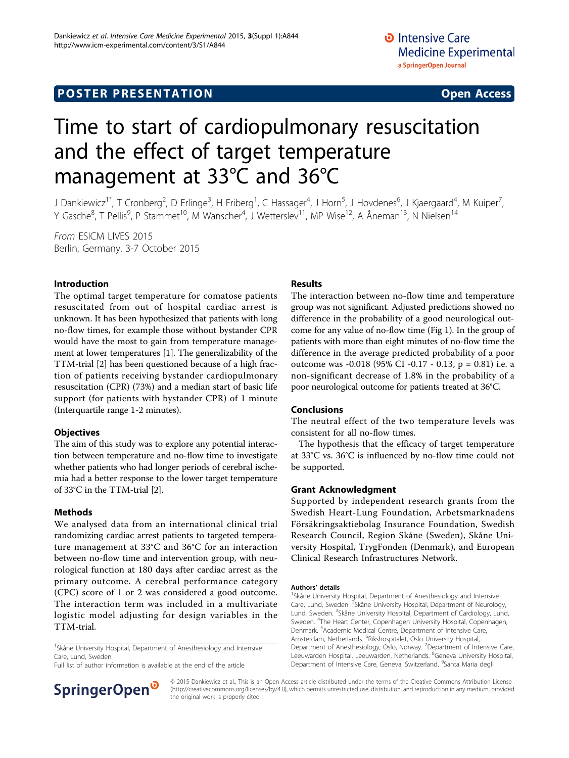# Time to start of cardiopulmonary resuscitation and the effect of target temperature management at 33°C and 36°C

J Dankiewicz<sup>1\*</sup>, T Cronberg<sup>2</sup>, D Erlinge<sup>3</sup>, H Friberg<sup>1</sup>, C Hassager<sup>4</sup>, J Horn<sup>5</sup>, J Hovdenes<sup>6</sup>, J Kjaergaard<sup>4</sup>, M Kuiper<sup>7</sup> , Y Gasche<sup>8</sup>, T Pellis<sup>9</sup>, P Stammet<sup>10</sup>, M Wanscher<sup>4</sup>, J Wetterslev<sup>11</sup>, MP Wise<sup>12</sup>, A Åneman<sup>13</sup>, N Nielsen<sup>14</sup>

From ESICM LIVES 2015 Berlin, Germany. 3-7 October 2015

# Introduction

The optimal target temperature for comatose patients resuscitated from out of hospital cardiac arrest is unknown. It has been hypothesized that patients with long no-flow times, for example those without bystander CPR would have the most to gain from temperature management at lower temperatures [[1](#page-1-0)]. The generalizability of the TTM-trial [\[2\]](#page-1-0) has been questioned because of a high fraction of patients receiving bystander cardiopulmonary resuscitation (CPR) (73%) and a median start of basic life support (for patients with bystander CPR) of 1 minute (Interquartile range 1-2 minutes).

# **Objectives**

The aim of this study was to explore any potential interaction between temperature and no-flow time to investigate whether patients who had longer periods of cerebral ischemia had a better response to the lower target temperature of 33°C in the TTM-trial [\[2\]](#page-1-0).

# Methods

We analysed data from an international clinical trial randomizing cardiac arrest patients to targeted temperature management at 33°C and 36°C for an interaction between no-flow time and intervention group, with neurological function at 180 days after cardiac arrest as the primary outcome. A cerebral performance category (CPC) score of 1 or 2 was considered a good outcome. The interaction term was included in a multivariate logistic model adjusting for design variables in the TTM-trial.

<sup>1</sup>Skåne University Hospital, Department of Anesthesiology and Intensive Care, Lund, Sweden

Full list of author information is available at the end of the article



#### Results

The interaction between no-flow time and temperature group was not significant. Adjusted predictions showed no difference in the probability of a good neurological outcome for any value of no-flow time (Fig 1). In the group of patients with more than eight minutes of no-flow time the difference in the average predicted probability of a poor outcome was -0.018 (95% CI -0.17 - 0.13, p = 0.81) i.e. a non-significant decrease of 1.8% in the probability of a poor neurological outcome for patients treated at 36°C.

# Conclusions

The neutral effect of the two temperature levels was consistent for all no-flow times.

The hypothesis that the efficacy of target temperature at 33°C vs. 36°C is influenced by no-flow time could not be supported.

# Grant Acknowledgment

Supported by independent research grants from the Swedish Heart-Lung Foundation, Arbetsmarknadens Försäkringsaktiebolag Insurance Foundation, Swedish Research Council, Region Skåne (Sweden), Skåne University Hospital, TrygFonden (Denmark), and European Clinical Research Infrastructures Network.

#### Authors' details <sup>1</sup>

<sup>1</sup>Skåne University Hospital, Department of Anesthesiology and Intensive Care, Lund, Sweden. <sup>2</sup>Skåne University Hospital, Department of Neurology, Lund, Sweden. <sup>3</sup>Skåne University Hospital, Department of Cardiology, Lund Sweden. <sup>4</sup>The Heart Center, Copenhagen University Hospital, Copenhagen Denmark. <sup>5</sup> Academic Medical Centre, Department of Intensive Care, Amsterdam, Netherlands. <sup>6</sup>Rikshospitalet, Oslo University Hospital Department of Anesthesiology, Oslo, Norway. <sup>7</sup>Department of Intensive Care Leeuwarden Hospital, Leeuwarden, Netherlands. <sup>8</sup>Geneva University Hospital Department of Intensive Care, Geneva, Switzerland. <sup>9</sup>Santa Maria degli

© 2015 Dankiewicz et al.; This is an Open Access article distributed under the terms of the Creative Commons Attribution License [\(http://creativecommons.org/licenses/by/4.0](http://creativecommons.org/licenses/by/4.0)), which permits unrestricted use, distribution, and reproduction in any medium, provided the original work is properly cited.